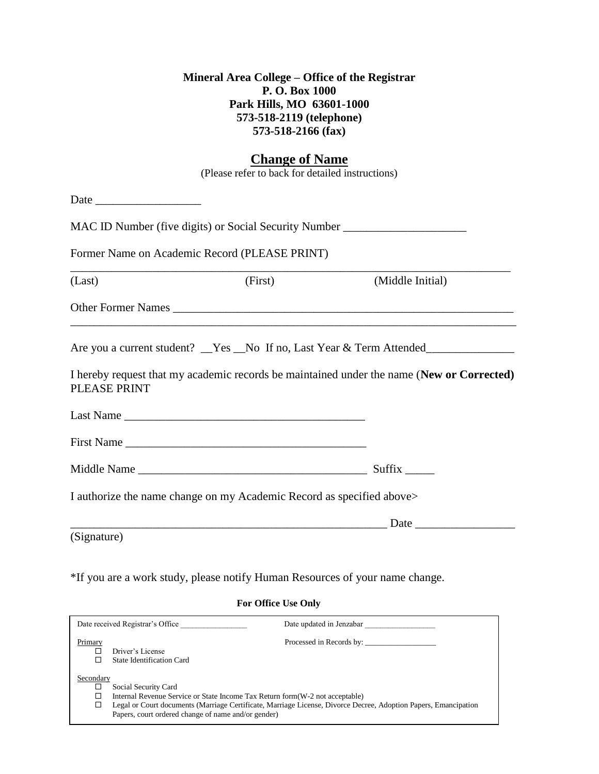## **Mineral Area College – Office of the Registrar P. O. Box 1000 Park Hills, MO 63601-1000 573-518-2119 (telephone) 573-518-2166 (fax)**

## **Change of Name**

(Please refer to back for detailed instructions)

| Date                                          |                                                                       |                                                                                           |  |
|-----------------------------------------------|-----------------------------------------------------------------------|-------------------------------------------------------------------------------------------|--|
|                                               |                                                                       | MAC ID Number (five digits) or Social Security Number __________________________          |  |
| Former Name on Academic Record (PLEASE PRINT) |                                                                       |                                                                                           |  |
| (Last)                                        |                                                                       | (First) (Middle Initial)                                                                  |  |
|                                               |                                                                       |                                                                                           |  |
|                                               |                                                                       | Are you a current student? _Yes _No If no, Last Year & Term Attended_____________         |  |
| PLEASE PRINT                                  |                                                                       | I hereby request that my academic records be maintained under the name (New or Corrected) |  |
|                                               |                                                                       |                                                                                           |  |
|                                               |                                                                       |                                                                                           |  |
|                                               |                                                                       | Suffix $\_\_\_\_\_\_\$                                                                    |  |
|                                               | I authorize the name change on my Academic Record as specified above> |                                                                                           |  |
|                                               |                                                                       |                                                                                           |  |
| (Signature)                                   |                                                                       |                                                                                           |  |

\*If you are a work study, please notify Human Resources of your name change.

#### **For Office Use Only**

| Date received Registrar's Office                                                                                                                                                                                                                                                                       | Date updated in Jenzabar |  |
|--------------------------------------------------------------------------------------------------------------------------------------------------------------------------------------------------------------------------------------------------------------------------------------------------------|--------------------------|--|
| Primary<br>Driver's License<br>State Identification Card                                                                                                                                                                                                                                               | Processed in Records by: |  |
| Secondary<br>Social Security Card<br>Internal Revenue Service or State Income Tax Return form (W-2 not acceptable)<br>□<br>Legal or Court documents (Marriage Certificate, Marriage License, Divorce Decree, Adoption Papers, Emancipation<br>□<br>Papers, court ordered change of name and/or gender) |                          |  |